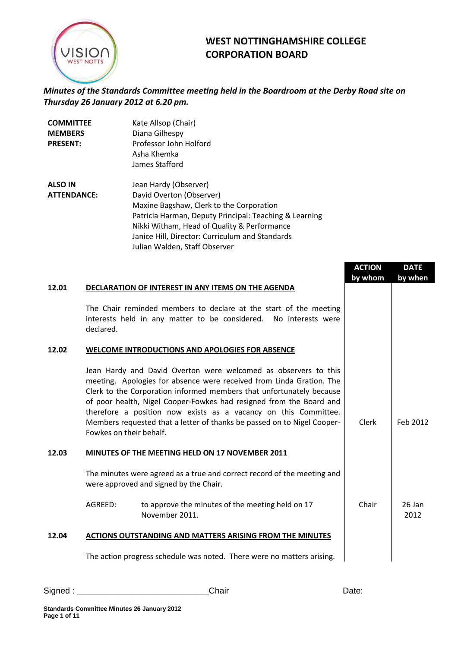

## **WEST NOTTINGHAMSHIRE COLLEGE CORPORATION BOARD**

*Minutes of the Standards Committee meeting held in the Boardroom at the Derby Road site on Thursday 26 January 2012 at 6.20 pm.*

| Jean Hardy (Observer)<br>David Overton (Observer)<br>Maxine Bagshaw, Clerk to the Corporation<br>Patricia Harman, Deputy Principal: Teaching & Learning<br>Nikki Witham, Head of Quality & Performance<br>Janice Hill, Director: Curriculum and Standards |
|-----------------------------------------------------------------------------------------------------------------------------------------------------------------------------------------------------------------------------------------------------------|
|                                                                                                                                                                                                                                                           |

|       |                         |                                                                                                                                                                                                                                                                                                                                                                                                                                      | <b>ACTION</b><br>by whom | <b>DATE</b><br>by when |
|-------|-------------------------|--------------------------------------------------------------------------------------------------------------------------------------------------------------------------------------------------------------------------------------------------------------------------------------------------------------------------------------------------------------------------------------------------------------------------------------|--------------------------|------------------------|
| 12.01 |                         | DECLARATION OF INTEREST IN ANY ITEMS ON THE AGENDA                                                                                                                                                                                                                                                                                                                                                                                   |                          |                        |
|       | declared.               | The Chair reminded members to declare at the start of the meeting<br>interests held in any matter to be considered. No interests were                                                                                                                                                                                                                                                                                                |                          |                        |
| 12.02 |                         | WELCOME INTRODUCTIONS AND APOLOGIES FOR ABSENCE                                                                                                                                                                                                                                                                                                                                                                                      |                          |                        |
|       | Fowkes on their behalf. | Jean Hardy and David Overton were welcomed as observers to this<br>meeting. Apologies for absence were received from Linda Gration. The<br>Clerk to the Corporation informed members that unfortunately because<br>of poor health, Nigel Cooper-Fowkes had resigned from the Board and<br>therefore a position now exists as a vacancy on this Committee.<br>Members requested that a letter of thanks be passed on to Nigel Cooper- | <b>Clerk</b>             | Feb 2012               |
| 12.03 |                         | MINUTES OF THE MEETING HELD ON 17 NOVEMBER 2011                                                                                                                                                                                                                                                                                                                                                                                      |                          |                        |
|       |                         | The minutes were agreed as a true and correct record of the meeting and<br>were approved and signed by the Chair.                                                                                                                                                                                                                                                                                                                    |                          |                        |
|       | AGREED:                 | to approve the minutes of the meeting held on 17<br>November 2011.                                                                                                                                                                                                                                                                                                                                                                   | Chair                    | 26 Jan<br>2012         |
| 12.04 |                         | <b>ACTIONS OUTSTANDING AND MATTERS ARISING FROM THE MINUTES</b>                                                                                                                                                                                                                                                                                                                                                                      |                          |                        |
|       |                         | The action progress schedule was noted. There were no matters arising.                                                                                                                                                                                                                                                                                                                                                               |                          |                        |

Signed : \_\_\_\_\_\_\_\_\_\_\_\_\_\_\_\_\_\_\_\_\_\_\_\_\_\_\_\_Chair Date: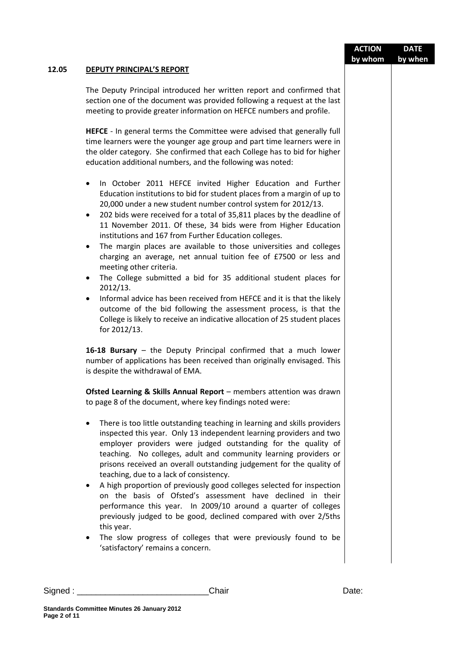|       |                                                                                                                                                                                                                                                                                                                                                                                                                                                                                                                                                                                                                                                                                                                                                                                                                                                                                                                                               | <b>ACTION</b> | <b>DATE</b> |
|-------|-----------------------------------------------------------------------------------------------------------------------------------------------------------------------------------------------------------------------------------------------------------------------------------------------------------------------------------------------------------------------------------------------------------------------------------------------------------------------------------------------------------------------------------------------------------------------------------------------------------------------------------------------------------------------------------------------------------------------------------------------------------------------------------------------------------------------------------------------------------------------------------------------------------------------------------------------|---------------|-------------|
| 12.05 | <b>DEPUTY PRINCIPAL'S REPORT</b>                                                                                                                                                                                                                                                                                                                                                                                                                                                                                                                                                                                                                                                                                                                                                                                                                                                                                                              | by whom       | by when     |
|       |                                                                                                                                                                                                                                                                                                                                                                                                                                                                                                                                                                                                                                                                                                                                                                                                                                                                                                                                               |               |             |
|       | The Deputy Principal introduced her written report and confirmed that<br>section one of the document was provided following a request at the last<br>meeting to provide greater information on HEFCE numbers and profile.                                                                                                                                                                                                                                                                                                                                                                                                                                                                                                                                                                                                                                                                                                                     |               |             |
|       | <b>HEFCE</b> - In general terms the Committee were advised that generally full<br>time learners were the younger age group and part time learners were in<br>the older category. She confirmed that each College has to bid for higher<br>education additional numbers, and the following was noted:                                                                                                                                                                                                                                                                                                                                                                                                                                                                                                                                                                                                                                          |               |             |
|       | In October 2011 HEFCE invited Higher Education and Further<br>٠<br>Education institutions to bid for student places from a margin of up to<br>20,000 under a new student number control system for 2012/13.<br>202 bids were received for a total of 35,811 places by the deadline of<br>٠<br>11 November 2011. Of these, 34 bids were from Higher Education<br>institutions and 167 from Further Education colleges.<br>The margin places are available to those universities and colleges<br>٠<br>charging an average, net annual tuition fee of £7500 or less and<br>meeting other criteria.<br>The College submitted a bid for 35 additional student places for<br>٠<br>2012/13.<br>Informal advice has been received from HEFCE and it is that the likely<br>$\bullet$<br>outcome of the bid following the assessment process, is that the<br>College is likely to receive an indicative allocation of 25 student places<br>for 2012/13. |               |             |
|       | 16-18 Bursary - the Deputy Principal confirmed that a much lower<br>number of applications has been received than originally envisaged. This<br>is despite the withdrawal of EMA.                                                                                                                                                                                                                                                                                                                                                                                                                                                                                                                                                                                                                                                                                                                                                             |               |             |
|       | Ofsted Learning & Skills Annual Report - members attention was drawn<br>to page 8 of the document, where key findings noted were:                                                                                                                                                                                                                                                                                                                                                                                                                                                                                                                                                                                                                                                                                                                                                                                                             |               |             |
|       | There is too little outstanding teaching in learning and skills providers<br>inspected this year. Only 13 independent learning providers and two<br>employer providers were judged outstanding for the quality of<br>teaching. No colleges, adult and community learning providers or<br>prisons received an overall outstanding judgement for the quality of<br>teaching, due to a lack of consistency.<br>A high proportion of previously good colleges selected for inspection<br>on the basis of Ofsted's assessment have declined in their<br>performance this year. In 2009/10 around a quarter of colleges<br>previously judged to be good, declined compared with over 2/5ths<br>this year.<br>The slow progress of colleges that were previously found to be<br>٠<br>'satisfactory' remains a concern.                                                                                                                               |               |             |
|       |                                                                                                                                                                                                                                                                                                                                                                                                                                                                                                                                                                                                                                                                                                                                                                                                                                                                                                                                               |               |             |
|       |                                                                                                                                                                                                                                                                                                                                                                                                                                                                                                                                                                                                                                                                                                                                                                                                                                                                                                                                               |               |             |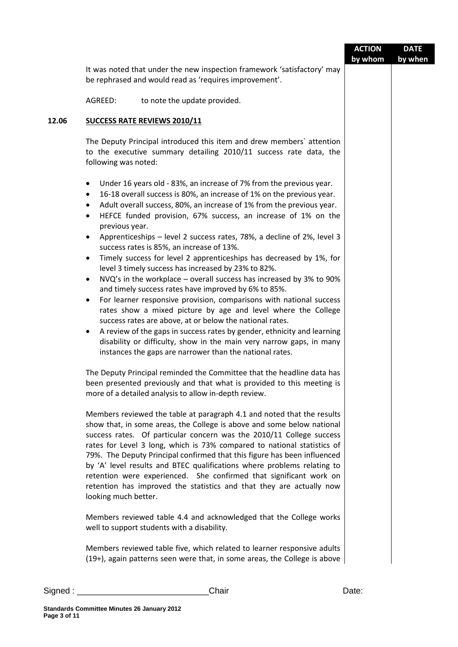|                                                                                                                     |                                                                                                                                                                                                                                                                                                                                                                                                                                                                                                                                                                                                                                                                                                                                                                                                                                                                                                                                                                                                                                                                                                                                                                                                                                                                                                                                                                                                                                                                                                                                                                                                                                                                                                                                                                                                                                                | <b>ACTION</b><br>by whom | <b>DATE</b><br>by when |
|---------------------------------------------------------------------------------------------------------------------|------------------------------------------------------------------------------------------------------------------------------------------------------------------------------------------------------------------------------------------------------------------------------------------------------------------------------------------------------------------------------------------------------------------------------------------------------------------------------------------------------------------------------------------------------------------------------------------------------------------------------------------------------------------------------------------------------------------------------------------------------------------------------------------------------------------------------------------------------------------------------------------------------------------------------------------------------------------------------------------------------------------------------------------------------------------------------------------------------------------------------------------------------------------------------------------------------------------------------------------------------------------------------------------------------------------------------------------------------------------------------------------------------------------------------------------------------------------------------------------------------------------------------------------------------------------------------------------------------------------------------------------------------------------------------------------------------------------------------------------------------------------------------------------------------------------------------------------------|--------------------------|------------------------|
|                                                                                                                     | It was noted that under the new inspection framework 'satisfactory' may<br>be rephrased and would read as 'requires improvement'.                                                                                                                                                                                                                                                                                                                                                                                                                                                                                                                                                                                                                                                                                                                                                                                                                                                                                                                                                                                                                                                                                                                                                                                                                                                                                                                                                                                                                                                                                                                                                                                                                                                                                                              |                          |                        |
| AGREED:                                                                                                             | to note the update provided.                                                                                                                                                                                                                                                                                                                                                                                                                                                                                                                                                                                                                                                                                                                                                                                                                                                                                                                                                                                                                                                                                                                                                                                                                                                                                                                                                                                                                                                                                                                                                                                                                                                                                                                                                                                                                   |                          |                        |
|                                                                                                                     | <b>SUCCESS RATE REVIEWS 2010/11</b>                                                                                                                                                                                                                                                                                                                                                                                                                                                                                                                                                                                                                                                                                                                                                                                                                                                                                                                                                                                                                                                                                                                                                                                                                                                                                                                                                                                                                                                                                                                                                                                                                                                                                                                                                                                                            |                          |                        |
| following was noted:                                                                                                | The Deputy Principal introduced this item and drew members' attention<br>to the executive summary detailing 2010/11 success rate data, the                                                                                                                                                                                                                                                                                                                                                                                                                                                                                                                                                                                                                                                                                                                                                                                                                                                                                                                                                                                                                                                                                                                                                                                                                                                                                                                                                                                                                                                                                                                                                                                                                                                                                                     |                          |                        |
| ٠<br>٠<br>$\bullet$<br>$\bullet$<br>previous year.<br>$\bullet$<br>$\bullet$<br>$\bullet$<br>$\bullet$<br>$\bullet$ | Under 16 years old - 83%, an increase of 7% from the previous year.<br>16-18 overall success is 80%, an increase of 1% on the previous year.<br>Adult overall success, 80%, an increase of 1% from the previous year.<br>HEFCE funded provision, 67% success, an increase of 1% on the<br>Apprenticeships - level 2 success rates, 78%, a decline of 2%, level 3<br>success rates is 85%, an increase of 13%.<br>Timely success for level 2 apprenticeships has decreased by 1%, for<br>level 3 timely success has increased by 23% to 82%.<br>NVQ's in the workplace - overall success has increased by 3% to 90%<br>and timely success rates have improved by 6% to 85%.<br>For learner responsive provision, comparisons with national success<br>rates show a mixed picture by age and level where the College<br>success rates are above, at or below the national rates.<br>A review of the gaps in success rates by gender, ethnicity and learning<br>disability or difficulty, show in the main very narrow gaps, in many<br>instances the gaps are narrower than the national rates.<br>The Deputy Principal reminded the Committee that the headline data has<br>been presented previously and that what is provided to this meeting is<br>more of a detailed analysis to allow in-depth review.<br>Members reviewed the table at paragraph 4.1 and noted that the results<br>show that, in some areas, the College is above and some below national<br>success rates. Of particular concern was the 2010/11 College success<br>rates for Level 3 long, which is 73% compared to national statistics of<br>79%. The Deputy Principal confirmed that this figure has been influenced<br>by 'A' level results and BTEC qualifications where problems relating to<br>retention were experienced. She confirmed that significant work on |                          |                        |
| looking much better.                                                                                                | retention has improved the statistics and that they are actually now                                                                                                                                                                                                                                                                                                                                                                                                                                                                                                                                                                                                                                                                                                                                                                                                                                                                                                                                                                                                                                                                                                                                                                                                                                                                                                                                                                                                                                                                                                                                                                                                                                                                                                                                                                           |                          |                        |
|                                                                                                                     | Members reviewed table 4.4 and acknowledged that the College works<br>well to support students with a disability.                                                                                                                                                                                                                                                                                                                                                                                                                                                                                                                                                                                                                                                                                                                                                                                                                                                                                                                                                                                                                                                                                                                                                                                                                                                                                                                                                                                                                                                                                                                                                                                                                                                                                                                              |                          |                        |
|                                                                                                                     | Members reviewed table five, which related to learner responsive adults<br>(19+), again patterns seen were that, in some areas, the College is above                                                                                                                                                                                                                                                                                                                                                                                                                                                                                                                                                                                                                                                                                                                                                                                                                                                                                                                                                                                                                                                                                                                                                                                                                                                                                                                                                                                                                                                                                                                                                                                                                                                                                           |                          |                        |
|                                                                                                                     |                                                                                                                                                                                                                                                                                                                                                                                                                                                                                                                                                                                                                                                                                                                                                                                                                                                                                                                                                                                                                                                                                                                                                                                                                                                                                                                                                                                                                                                                                                                                                                                                                                                                                                                                                                                                                                                |                          |                        |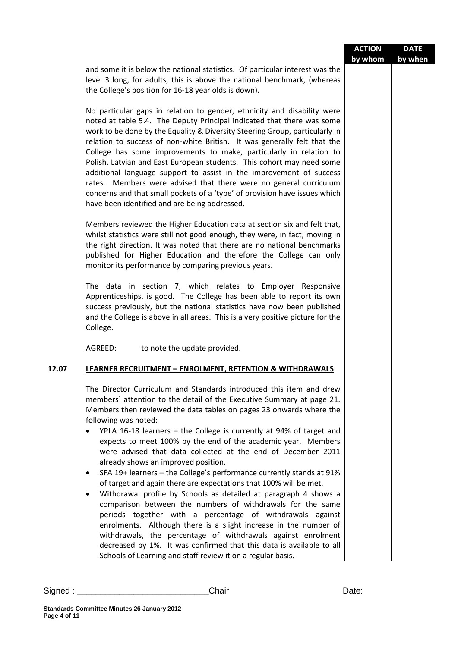|         |                                                                                                                                                                                                                                                                                                                                                                                                                                                                                                                                                                                                                                                                                                                                                                                                                                                                                                                                                                                                                                                                                                                                       | <b>ACTION</b><br>by whom | <b>DATE</b><br>by when |
|---------|---------------------------------------------------------------------------------------------------------------------------------------------------------------------------------------------------------------------------------------------------------------------------------------------------------------------------------------------------------------------------------------------------------------------------------------------------------------------------------------------------------------------------------------------------------------------------------------------------------------------------------------------------------------------------------------------------------------------------------------------------------------------------------------------------------------------------------------------------------------------------------------------------------------------------------------------------------------------------------------------------------------------------------------------------------------------------------------------------------------------------------------|--------------------------|------------------------|
|         | and some it is below the national statistics. Of particular interest was the<br>level 3 long, for adults, this is above the national benchmark, (whereas<br>the College's position for 16-18 year olds is down).                                                                                                                                                                                                                                                                                                                                                                                                                                                                                                                                                                                                                                                                                                                                                                                                                                                                                                                      |                          |                        |
|         | No particular gaps in relation to gender, ethnicity and disability were<br>noted at table 5.4. The Deputy Principal indicated that there was some<br>work to be done by the Equality & Diversity Steering Group, particularly in<br>relation to success of non-white British. It was generally felt that the<br>College has some improvements to make, particularly in relation to<br>Polish, Latvian and East European students. This cohort may need some<br>additional language support to assist in the improvement of success<br>rates. Members were advised that there were no general curriculum<br>concerns and that small pockets of a 'type' of provision have issues which<br>have been identified and are being addressed.                                                                                                                                                                                                                                                                                                                                                                                                |                          |                        |
|         | Members reviewed the Higher Education data at section six and felt that,<br>whilst statistics were still not good enough, they were, in fact, moving in<br>the right direction. It was noted that there are no national benchmarks<br>published for Higher Education and therefore the College can only<br>monitor its performance by comparing previous years.                                                                                                                                                                                                                                                                                                                                                                                                                                                                                                                                                                                                                                                                                                                                                                       |                          |                        |
|         | The data in section 7, which relates to Employer Responsive<br>Apprenticeships, is good. The College has been able to report its own<br>success previously, but the national statistics have now been published<br>and the College is above in all areas. This is a very positive picture for the<br>College.                                                                                                                                                                                                                                                                                                                                                                                                                                                                                                                                                                                                                                                                                                                                                                                                                         |                          |                        |
|         | AGREED:<br>to note the update provided.                                                                                                                                                                                                                                                                                                                                                                                                                                                                                                                                                                                                                                                                                                                                                                                                                                                                                                                                                                                                                                                                                               |                          |                        |
| 12.07   | <b>LEARNER RECRUITMENT - ENROLMENT, RETENTION &amp; WITHDRAWALS</b>                                                                                                                                                                                                                                                                                                                                                                                                                                                                                                                                                                                                                                                                                                                                                                                                                                                                                                                                                                                                                                                                   |                          |                        |
|         | The Director Curriculum and Standards introduced this item and drew<br>members' attention to the detail of the Executive Summary at page 21.<br>Members then reviewed the data tables on pages 23 onwards where the<br>following was noted:<br>YPLA 16-18 learners $-$ the College is currently at 94% of target and<br>expects to meet 100% by the end of the academic year. Members<br>were advised that data collected at the end of December 2011<br>already shows an improved position.<br>SFA 19+ learners - the College's performance currently stands at 91%<br>٠<br>of target and again there are expectations that 100% will be met.<br>Withdrawal profile by Schools as detailed at paragraph 4 shows a<br>$\bullet$<br>comparison between the numbers of withdrawals for the same<br>periods together with a percentage of withdrawals against<br>enrolments. Although there is a slight increase in the number of<br>withdrawals, the percentage of withdrawals against enrolment<br>decreased by 1%. It was confirmed that this data is available to all<br>Schools of Learning and staff review it on a regular basis. |                          |                        |
| Signed: | Chair                                                                                                                                                                                                                                                                                                                                                                                                                                                                                                                                                                                                                                                                                                                                                                                                                                                                                                                                                                                                                                                                                                                                 | Date:                    |                        |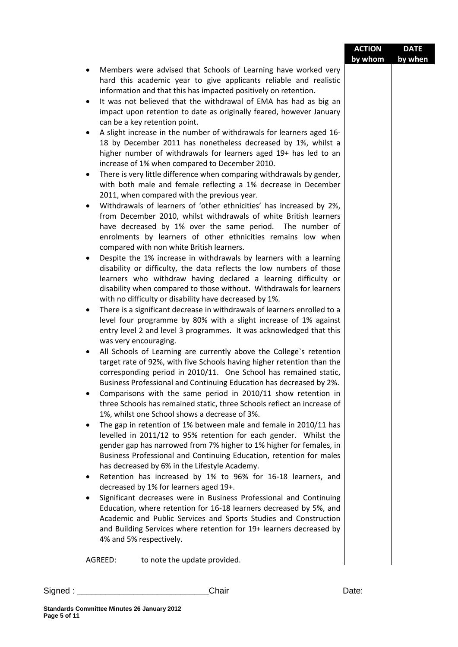|         |                                                                                                                                                                                                                                                                                                                                                                | <b>ACTION</b><br>by whom | <b>DATE</b><br>by when |
|---------|----------------------------------------------------------------------------------------------------------------------------------------------------------------------------------------------------------------------------------------------------------------------------------------------------------------------------------------------------------------|--------------------------|------------------------|
|         | Members were advised that Schools of Learning have worked very<br>٠<br>hard this academic year to give applicants reliable and realistic                                                                                                                                                                                                                       |                          |                        |
|         | information and that this has impacted positively on retention.                                                                                                                                                                                                                                                                                                |                          |                        |
|         | It was not believed that the withdrawal of EMA has had as big an<br>$\bullet$<br>impact upon retention to date as originally feared, however January                                                                                                                                                                                                           |                          |                        |
|         | can be a key retention point.                                                                                                                                                                                                                                                                                                                                  |                          |                        |
|         | A slight increase in the number of withdrawals for learners aged 16-<br>٠                                                                                                                                                                                                                                                                                      |                          |                        |
|         | 18 by December 2011 has nonetheless decreased by 1%, whilst a<br>higher number of withdrawals for learners aged 19+ has led to an<br>increase of 1% when compared to December 2010.                                                                                                                                                                            |                          |                        |
|         | There is very little difference when comparing withdrawals by gender,<br>$\bullet$<br>with both male and female reflecting a 1% decrease in December<br>2011, when compared with the previous year.                                                                                                                                                            |                          |                        |
|         | Withdrawals of learners of 'other ethnicities' has increased by 2%,<br>$\bullet$                                                                                                                                                                                                                                                                               |                          |                        |
|         | from December 2010, whilst withdrawals of white British learners                                                                                                                                                                                                                                                                                               |                          |                        |
|         | have decreased by 1% over the same period. The number of                                                                                                                                                                                                                                                                                                       |                          |                        |
|         | enrolments by learners of other ethnicities remains low when<br>compared with non white British learners.                                                                                                                                                                                                                                                      |                          |                        |
|         | Despite the 1% increase in withdrawals by learners with a learning<br>$\bullet$<br>disability or difficulty, the data reflects the low numbers of those<br>learners who withdraw having declared a learning difficulty or<br>disability when compared to those without. Withdrawals for learners                                                               |                          |                        |
|         | with no difficulty or disability have decreased by 1%.                                                                                                                                                                                                                                                                                                         |                          |                        |
|         | There is a significant decrease in withdrawals of learners enrolled to a<br>٠                                                                                                                                                                                                                                                                                  |                          |                        |
|         | level four programme by 80% with a slight increase of 1% against                                                                                                                                                                                                                                                                                               |                          |                        |
|         | entry level 2 and level 3 programmes. It was acknowledged that this                                                                                                                                                                                                                                                                                            |                          |                        |
|         | was very encouraging.                                                                                                                                                                                                                                                                                                                                          |                          |                        |
|         | All Schools of Learning are currently above the College's retention<br>٠<br>target rate of 92%, with five Schools having higher retention than the<br>corresponding period in 2010/11. One School has remained static,<br>Business Professional and Continuing Education has decreased by 2%.<br>Comparisons with the same period in 2010/11 show retention in |                          |                        |
|         | three Schools has remained static, three Schools reflect an increase of<br>1%, whilst one School shows a decrease of 3%.                                                                                                                                                                                                                                       |                          |                        |
|         | The gap in retention of 1% between male and female in 2010/11 has<br>٠                                                                                                                                                                                                                                                                                         |                          |                        |
|         | levelled in 2011/12 to 95% retention for each gender. Whilst the                                                                                                                                                                                                                                                                                               |                          |                        |
|         | gender gap has narrowed from 7% higher to 1% higher for females, in<br>Business Professional and Continuing Education, retention for males                                                                                                                                                                                                                     |                          |                        |
|         | has decreased by 6% in the Lifestyle Academy.                                                                                                                                                                                                                                                                                                                  |                          |                        |
|         | Retention has increased by 1% to 96% for 16-18 learners, and<br>٠<br>decreased by 1% for learners aged 19+.                                                                                                                                                                                                                                                    |                          |                        |
|         | Significant decreases were in Business Professional and Continuing<br>٠                                                                                                                                                                                                                                                                                        |                          |                        |
|         | Education, where retention for 16-18 learners decreased by 5%, and<br>Academic and Public Services and Sports Studies and Construction<br>and Building Services where retention for 19+ learners decreased by<br>4% and 5% respectively.                                                                                                                       |                          |                        |
|         | AGREED:<br>to note the update provided.                                                                                                                                                                                                                                                                                                                        |                          |                        |
| Signed: | Chair                                                                                                                                                                                                                                                                                                                                                          | Date:                    |                        |
|         |                                                                                                                                                                                                                                                                                                                                                                |                          |                        |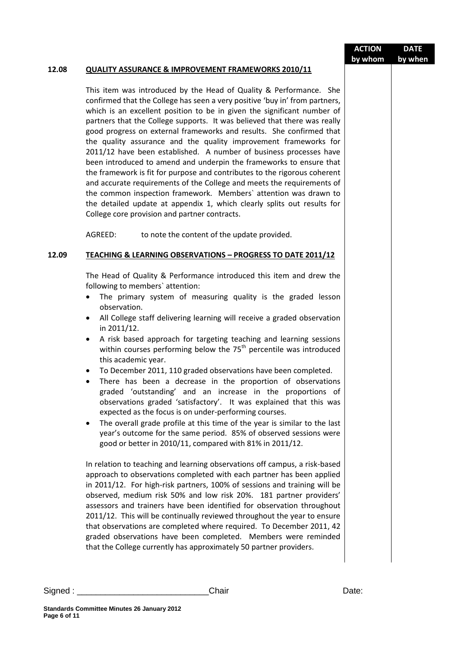|          |                                                                                                                                                                                                                                                                                                                                                                                                                                                                                                                                                                                                                                                                                                                                                                                                                                                                                                                                                                                                                                        | <b>ACTION</b> | <b>DATE</b> |
|----------|----------------------------------------------------------------------------------------------------------------------------------------------------------------------------------------------------------------------------------------------------------------------------------------------------------------------------------------------------------------------------------------------------------------------------------------------------------------------------------------------------------------------------------------------------------------------------------------------------------------------------------------------------------------------------------------------------------------------------------------------------------------------------------------------------------------------------------------------------------------------------------------------------------------------------------------------------------------------------------------------------------------------------------------|---------------|-------------|
| 12.08    | <b>QUALITY ASSURANCE &amp; IMPROVEMENT FRAMEWORKS 2010/11</b>                                                                                                                                                                                                                                                                                                                                                                                                                                                                                                                                                                                                                                                                                                                                                                                                                                                                                                                                                                          | by whom       | by when     |
|          | This item was introduced by the Head of Quality & Performance. She<br>confirmed that the College has seen a very positive 'buy in' from partners,<br>which is an excellent position to be in given the significant number of<br>partners that the College supports. It was believed that there was really<br>good progress on external frameworks and results. She confirmed that<br>the quality assurance and the quality improvement frameworks for<br>2011/12 have been established. A number of business processes have<br>been introduced to amend and underpin the frameworks to ensure that<br>the framework is fit for purpose and contributes to the rigorous coherent<br>and accurate requirements of the College and meets the requirements of<br>the common inspection framework. Members' attention was drawn to<br>the detailed update at appendix 1, which clearly splits out results for<br>College core provision and partner contracts.                                                                              |               |             |
|          | AGREED:<br>to note the content of the update provided.                                                                                                                                                                                                                                                                                                                                                                                                                                                                                                                                                                                                                                                                                                                                                                                                                                                                                                                                                                                 |               |             |
| 12.09    | <b>TEACHING &amp; LEARNING OBSERVATIONS - PROGRESS TO DATE 2011/12</b>                                                                                                                                                                                                                                                                                                                                                                                                                                                                                                                                                                                                                                                                                                                                                                                                                                                                                                                                                                 |               |             |
|          | The Head of Quality & Performance introduced this item and drew the<br>following to members' attention:<br>The primary system of measuring quality is the graded lesson<br>observation.<br>All College staff delivering learning will receive a graded observation<br>in 2011/12.<br>A risk based approach for targeting teaching and learning sessions<br>within courses performing below the 75 <sup>th</sup> percentile was introduced<br>this academic year.<br>To December 2011, 110 graded observations have been completed.<br>There has been a decrease in the proportion of observations<br>$\bullet$<br>graded 'outstanding' and an increase in the proportions of<br>observations graded 'satisfactory'. It was explained that this was<br>expected as the focus is on under-performing courses.<br>The overall grade profile at this time of the year is similar to the last<br>$\bullet$<br>year's outcome for the same period. 85% of observed sessions were<br>good or better in 2010/11, compared with 81% in 2011/12. |               |             |
|          | In relation to teaching and learning observations off campus, a risk-based<br>approach to observations completed with each partner has been applied<br>in 2011/12. For high-risk partners, 100% of sessions and training will be<br>observed, medium risk 50% and low risk 20%. 181 partner providers'<br>assessors and trainers have been identified for observation throughout<br>2011/12. This will be continually reviewed throughout the year to ensure<br>that observations are completed where required. To December 2011, 42<br>graded observations have been completed. Members were reminded<br>that the College currently has approximately 50 partner providers.                                                                                                                                                                                                                                                                                                                                                           |               |             |
| Signed : | Chair                                                                                                                                                                                                                                                                                                                                                                                                                                                                                                                                                                                                                                                                                                                                                                                                                                                                                                                                                                                                                                  | Date:         |             |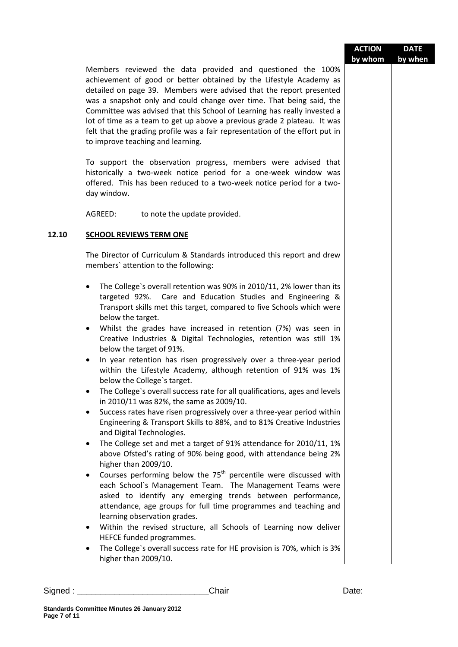|       |                                                                                                                                                                                                                                                                                                                                                                                                                                                                                                                                                              | <b>ACTION</b> | <b>DATE</b> |
|-------|--------------------------------------------------------------------------------------------------------------------------------------------------------------------------------------------------------------------------------------------------------------------------------------------------------------------------------------------------------------------------------------------------------------------------------------------------------------------------------------------------------------------------------------------------------------|---------------|-------------|
|       | Members reviewed the data provided and questioned the 100%<br>achievement of good or better obtained by the Lifestyle Academy as<br>detailed on page 39. Members were advised that the report presented<br>was a snapshot only and could change over time. That being said, the<br>Committee was advised that this School of Learning has really invested a<br>lot of time as a team to get up above a previous grade 2 plateau. It was<br>felt that the grading profile was a fair representation of the effort put in<br>to improve teaching and learning. | by whom       | by when     |
|       | To support the observation progress, members were advised that<br>historically a two-week notice period for a one-week window was<br>offered. This has been reduced to a two-week notice period for a two-<br>day window.                                                                                                                                                                                                                                                                                                                                    |               |             |
|       | AGREED:<br>to note the update provided.                                                                                                                                                                                                                                                                                                                                                                                                                                                                                                                      |               |             |
| 12.10 | <b>SCHOOL REVIEWS TERM ONE</b>                                                                                                                                                                                                                                                                                                                                                                                                                                                                                                                               |               |             |
|       | The Director of Curriculum & Standards introduced this report and drew<br>members' attention to the following:                                                                                                                                                                                                                                                                                                                                                                                                                                               |               |             |
|       | The College's overall retention was 90% in 2010/11, 2% lower than its<br>$\bullet$<br>targeted 92%. Care and Education Studies and Engineering &<br>Transport skills met this target, compared to five Schools which were<br>below the target.                                                                                                                                                                                                                                                                                                               |               |             |
|       | Whilst the grades have increased in retention (7%) was seen in<br>٠<br>Creative Industries & Digital Technologies, retention was still 1%<br>below the target of 91%.                                                                                                                                                                                                                                                                                                                                                                                        |               |             |
|       | In year retention has risen progressively over a three-year period<br>٠<br>within the Lifestyle Academy, although retention of 91% was 1%<br>below the College's target.                                                                                                                                                                                                                                                                                                                                                                                     |               |             |
|       | The College's overall success rate for all qualifications, ages and levels<br>in 2010/11 was 82%, the same as 2009/10.                                                                                                                                                                                                                                                                                                                                                                                                                                       |               |             |
|       | Success rates have risen progressively over a three-year period within<br>٠<br>Engineering & Transport Skills to 88%, and to 81% Creative Industries<br>and Digital Technologies.                                                                                                                                                                                                                                                                                                                                                                            |               |             |
|       | The College set and met a target of 91% attendance for 2010/11, 1%<br>٠<br>above Ofsted's rating of 90% being good, with attendance being 2%<br>higher than 2009/10.                                                                                                                                                                                                                                                                                                                                                                                         |               |             |
|       | Courses performing below the 75 <sup>th</sup> percentile were discussed with<br>٠<br>each School's Management Team. The Management Teams were<br>asked to identify any emerging trends between performance,<br>attendance, age groups for full time programmes and teaching and<br>learning observation grades.                                                                                                                                                                                                                                              |               |             |
|       | Within the revised structure, all Schools of Learning now deliver<br>٠<br>HEFCE funded programmes.<br>The College's overall success rate for HE provision is 70%, which is 3%<br>٠<br>higher than 2009/10.                                                                                                                                                                                                                                                                                                                                                   |               |             |

Signed : \_\_\_\_\_\_\_\_\_\_\_\_\_\_\_\_\_\_\_\_\_\_\_\_\_\_\_\_Chair Date: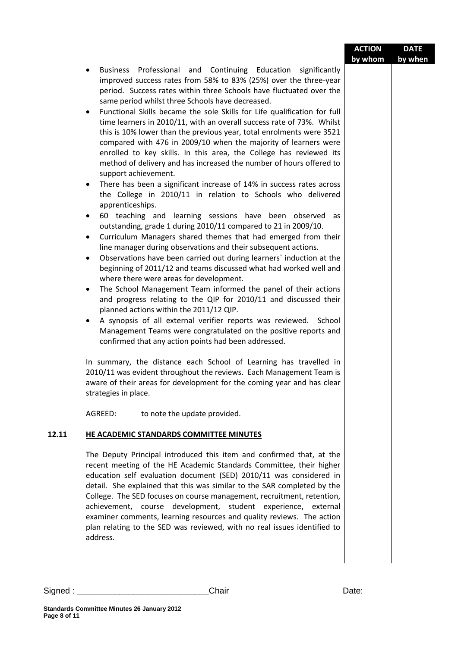| Business Professional and Continuing Education significantly<br>٠<br>improved success rates from 58% to 83% (25%) over the three-year<br>period. Success rates within three Schools have fluctuated over the<br>same period whilst three Schools have decreased.<br>Functional Skills became the sole Skills for Life qualification for full<br>$\bullet$<br>time learners in 2010/11, with an overall success rate of 73%. Whilst<br>this is 10% lower than the previous year, total enrolments were 3521<br>compared with 476 in 2009/10 when the majority of learners were<br>enrolled to key skills. In this area, the College has reviewed its<br>method of delivery and has increased the number of hours offered to<br>support achievement.<br>There has been a significant increase of 14% in success rates across<br>٠<br>the College in 2010/11 in relation to Schools who delivered<br>apprenticeships.<br>60 teaching and learning sessions have been observed<br>as<br>$\bullet$<br>outstanding, grade 1 during 2010/11 compared to 21 in 2009/10.<br>Curriculum Managers shared themes that had emerged from their<br>$\bullet$<br>line manager during observations and their subsequent actions.<br>Observations have been carried out during learners' induction at the<br>$\bullet$<br>beginning of 2011/12 and teams discussed what had worked well and<br>where there were areas for development.<br>The School Management Team informed the panel of their actions<br>$\bullet$<br>and progress relating to the QIP for 2010/11 and discussed their<br>planned actions within the 2011/12 QIP.<br>A synopsis of all external verifier reports was reviewed. School<br>$\bullet$<br>Management Teams were congratulated on the positive reports and |
|------------------------------------------------------------------------------------------------------------------------------------------------------------------------------------------------------------------------------------------------------------------------------------------------------------------------------------------------------------------------------------------------------------------------------------------------------------------------------------------------------------------------------------------------------------------------------------------------------------------------------------------------------------------------------------------------------------------------------------------------------------------------------------------------------------------------------------------------------------------------------------------------------------------------------------------------------------------------------------------------------------------------------------------------------------------------------------------------------------------------------------------------------------------------------------------------------------------------------------------------------------------------------------------------------------------------------------------------------------------------------------------------------------------------------------------------------------------------------------------------------------------------------------------------------------------------------------------------------------------------------------------------------------------------------------------------------------------------------------------------------------------------|
| confirmed that any action points had been addressed.<br>In summary, the distance each School of Learning has travelled in<br>2010/11 was evident throughout the reviews. Each Management Team is<br>aware of their areas for development for the coming year and has clear<br>strategies in place.                                                                                                                                                                                                                                                                                                                                                                                                                                                                                                                                                                                                                                                                                                                                                                                                                                                                                                                                                                                                                                                                                                                                                                                                                                                                                                                                                                                                                                                                     |
| AGREED:<br>to note the update provided.                                                                                                                                                                                                                                                                                                                                                                                                                                                                                                                                                                                                                                                                                                                                                                                                                                                                                                                                                                                                                                                                                                                                                                                                                                                                                                                                                                                                                                                                                                                                                                                                                                                                                                                                |
| 12.11<br>HE ACADEMIC STANDARDS COMMITTEE MINUTES<br>The Deputy Principal introduced this item and confirmed that, at the<br>recent meeting of the HE Academic Standards Committee, their higher<br>education self evaluation document (SED) 2010/11 was considered in<br>detail. She explained that this was similar to the SAR completed by the<br>College. The SED focuses on course management, recruitment, retention,<br>achievement, course development, student experience, external<br>examiner comments, learning resources and quality reviews. The action<br>plan relating to the SED was reviewed, with no real issues identified to<br>address.                                                                                                                                                                                                                                                                                                                                                                                                                                                                                                                                                                                                                                                                                                                                                                                                                                                                                                                                                                                                                                                                                                           |
| Signed : ___________________<br>Chair<br>Date:                                                                                                                                                                                                                                                                                                                                                                                                                                                                                                                                                                                                                                                                                                                                                                                                                                                                                                                                                                                                                                                                                                                                                                                                                                                                                                                                                                                                                                                                                                                                                                                                                                                                                                                         |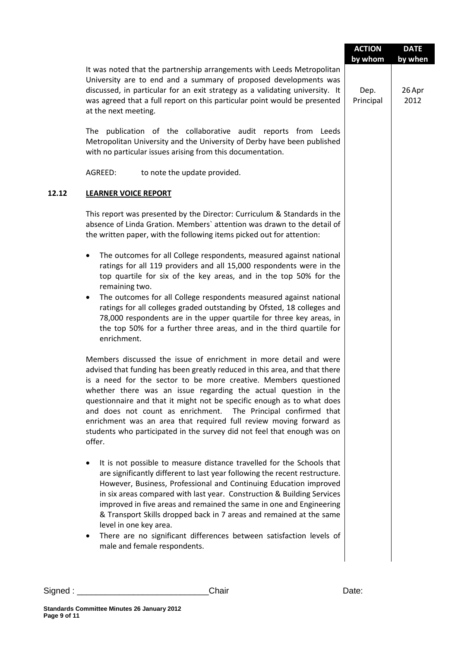|                                                                                                                                                                                                                                                                                                                                                                                                                                                                                                                                                                                                  |                   | by when        |
|--------------------------------------------------------------------------------------------------------------------------------------------------------------------------------------------------------------------------------------------------------------------------------------------------------------------------------------------------------------------------------------------------------------------------------------------------------------------------------------------------------------------------------------------------------------------------------------------------|-------------------|----------------|
| It was noted that the partnership arrangements with Leeds Metropolitan<br>University are to end and a summary of proposed developments was<br>discussed, in particular for an exit strategy as a validating university. It<br>was agreed that a full report on this particular point would be presented<br>at the next meeting.                                                                                                                                                                                                                                                                  | Dep.<br>Principal | 26 Apr<br>2012 |
| The publication of the collaborative audit reports from Leeds<br>Metropolitan University and the University of Derby have been published<br>with no particular issues arising from this documentation.                                                                                                                                                                                                                                                                                                                                                                                           |                   |                |
| AGREED:<br>to note the update provided.                                                                                                                                                                                                                                                                                                                                                                                                                                                                                                                                                          |                   |                |
| <b>LEARNER VOICE REPORT</b>                                                                                                                                                                                                                                                                                                                                                                                                                                                                                                                                                                      |                   |                |
| This report was presented by the Director: Curriculum & Standards in the<br>absence of Linda Gration. Members' attention was drawn to the detail of<br>the written paper, with the following items picked out for attention:                                                                                                                                                                                                                                                                                                                                                                     |                   |                |
| The outcomes for all College respondents, measured against national<br>٠<br>ratings for all 119 providers and all 15,000 respondents were in the<br>top quartile for six of the key areas, and in the top 50% for the<br>remaining two.                                                                                                                                                                                                                                                                                                                                                          |                   |                |
| The outcomes for all College respondents measured against national<br>$\bullet$<br>ratings for all colleges graded outstanding by Ofsted, 18 colleges and<br>78,000 respondents are in the upper quartile for three key areas, in<br>the top 50% for a further three areas, and in the third quartile for<br>enrichment.                                                                                                                                                                                                                                                                         |                   |                |
| Members discussed the issue of enrichment in more detail and were<br>advised that funding has been greatly reduced in this area, and that there<br>is a need for the sector to be more creative. Members questioned<br>whether there was an issue regarding the actual question in the<br>questionnaire and that it might not be specific enough as to what does<br>and does not count as enrichment.<br>The Principal confirmed that<br>enrichment was an area that required full review moving forward as<br>students who participated in the survey did not feel that enough was on<br>offer. |                   |                |
| It is not possible to measure distance travelled for the Schools that<br>٠<br>are significantly different to last year following the recent restructure.<br>However, Business, Professional and Continuing Education improved<br>in six areas compared with last year. Construction & Building Services<br>improved in five areas and remained the same in one and Engineering<br>& Transport Skills dropped back in 7 areas and remained at the same<br>level in one key area.<br>There are no significant differences between satisfaction levels of<br>male and female respondents.           |                   |                |
|                                                                                                                                                                                                                                                                                                                                                                                                                                                                                                                                                                                                  |                   |                |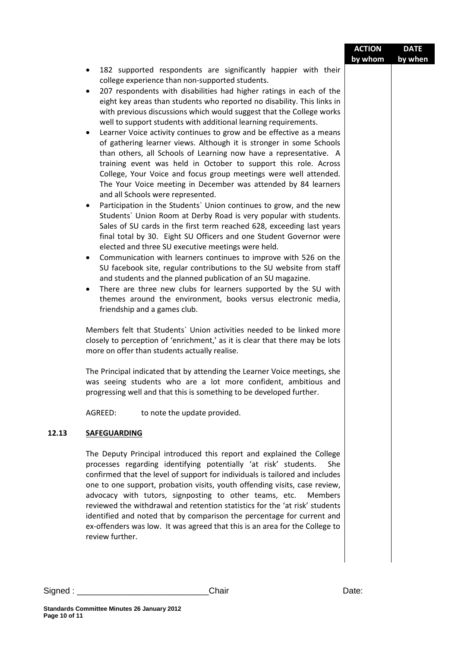|         |                                                                                                                                                                                                                                                                                                                                                                                                                                                                                                                                                                                                                                                                                                                                                                                                                                                                                                                                                                                                                                                                                                                                                                                                                                                                                                                                                                                                                                                                                                                                                                                                                                                                                        | <b>ACTION</b><br>by whom | <b>DATE</b><br>by when |
|---------|----------------------------------------------------------------------------------------------------------------------------------------------------------------------------------------------------------------------------------------------------------------------------------------------------------------------------------------------------------------------------------------------------------------------------------------------------------------------------------------------------------------------------------------------------------------------------------------------------------------------------------------------------------------------------------------------------------------------------------------------------------------------------------------------------------------------------------------------------------------------------------------------------------------------------------------------------------------------------------------------------------------------------------------------------------------------------------------------------------------------------------------------------------------------------------------------------------------------------------------------------------------------------------------------------------------------------------------------------------------------------------------------------------------------------------------------------------------------------------------------------------------------------------------------------------------------------------------------------------------------------------------------------------------------------------------|--------------------------|------------------------|
|         | 182 supported respondents are significantly happier with their<br>٠<br>college experience than non-supported students.<br>207 respondents with disabilities had higher ratings in each of the<br>$\bullet$<br>eight key areas than students who reported no disability. This links in<br>with previous discussions which would suggest that the College works<br>well to support students with additional learning requirements.<br>Learner Voice activity continues to grow and be effective as a means<br>$\bullet$<br>of gathering learner views. Although it is stronger in some Schools<br>than others, all Schools of Learning now have a representative. A<br>training event was held in October to support this role. Across<br>College, Your Voice and focus group meetings were well attended.<br>The Your Voice meeting in December was attended by 84 learners<br>and all Schools were represented.<br>Participation in the Students' Union continues to grow, and the new<br>$\bullet$<br>Students' Union Room at Derby Road is very popular with students.<br>Sales of SU cards in the first term reached 628, exceeding last years<br>final total by 30. Eight SU Officers and one Student Governor were<br>elected and three SU executive meetings were held.<br>Communication with learners continues to improve with 526 on the<br>$\bullet$<br>SU facebook site, regular contributions to the SU website from staff<br>and students and the planned publication of an SU magazine.<br>There are three new clubs for learners supported by the SU with<br>$\bullet$<br>themes around the environment, books versus electronic media,<br>friendship and a games club. |                          |                        |
|         | Members felt that Students' Union activities needed to be linked more<br>closely to perception of 'enrichment,' as it is clear that there may be lots<br>more on offer than students actually realise.<br>The Principal indicated that by attending the Learner Voice meetings, she<br>was seeing students who are a lot more confident, ambitious and<br>progressing well and that this is something to be developed further.                                                                                                                                                                                                                                                                                                                                                                                                                                                                                                                                                                                                                                                                                                                                                                                                                                                                                                                                                                                                                                                                                                                                                                                                                                                         |                          |                        |
|         | to note the update provided.<br>AGREED:                                                                                                                                                                                                                                                                                                                                                                                                                                                                                                                                                                                                                                                                                                                                                                                                                                                                                                                                                                                                                                                                                                                                                                                                                                                                                                                                                                                                                                                                                                                                                                                                                                                |                          |                        |
| 12.13   | <b>SAFEGUARDING</b>                                                                                                                                                                                                                                                                                                                                                                                                                                                                                                                                                                                                                                                                                                                                                                                                                                                                                                                                                                                                                                                                                                                                                                                                                                                                                                                                                                                                                                                                                                                                                                                                                                                                    |                          |                        |
|         | The Deputy Principal introduced this report and explained the College<br>processes regarding identifying potentially 'at risk' students.<br><b>She</b><br>confirmed that the level of support for individuals is tailored and includes<br>one to one support, probation visits, youth offending visits, case review,<br>advocacy with tutors, signposting to other teams, etc.<br><b>Members</b><br>reviewed the withdrawal and retention statistics for the 'at risk' students<br>identified and noted that by comparison the percentage for current and<br>ex-offenders was low. It was agreed that this is an area for the College to<br>review further.                                                                                                                                                                                                                                                                                                                                                                                                                                                                                                                                                                                                                                                                                                                                                                                                                                                                                                                                                                                                                            |                          |                        |
| Signed: | Chair                                                                                                                                                                                                                                                                                                                                                                                                                                                                                                                                                                                                                                                                                                                                                                                                                                                                                                                                                                                                                                                                                                                                                                                                                                                                                                                                                                                                                                                                                                                                                                                                                                                                                  | Date:                    |                        |